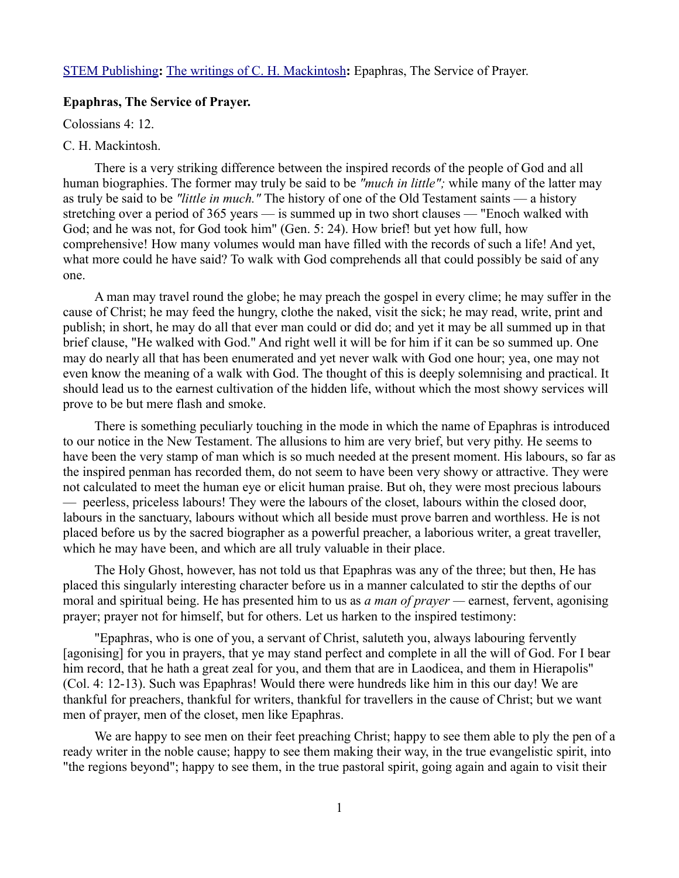## [STEM Publishing](http://www.stempublishing.com/)**:** [The writings of C. H. Mackintosh](http://www.stempublishing.com/authors/mackintosh/index.html)**:** Epaphras, The Service of Prayer.

## **Epaphras, The Service of Prayer.**

Colossians 4: 12.

## C. H. Mackintosh.

There is a very striking difference between the inspired records of the people of God and all human biographies. The former may truly be said to be *"much in little";* while many of the latter may as truly be said to be *"little in much."* The history of one of the Old Testament saints — a history stretching over a period of 365 years — is summed up in two short clauses — "Enoch walked with God; and he was not, for God took him" (Gen. 5: 24). How brief! but yet how full, how comprehensive! How many volumes would man have filled with the records of such a life! And yet, what more could he have said? To walk with God comprehends all that could possibly be said of any one.

A man may travel round the globe; he may preach the gospel in every clime; he may suffer in the cause of Christ; he may feed the hungry, clothe the naked, visit the sick; he may read, write, print and publish; in short, he may do all that ever man could or did do; and yet it may be all summed up in that brief clause, "He walked with God." And right well it will be for him if it can be so summed up. One may do nearly all that has been enumerated and yet never walk with God one hour; yea, one may not even know the meaning of a walk with God. The thought of this is deeply solemnising and practical. It should lead us to the earnest cultivation of the hidden life, without which the most showy services will prove to be but mere flash and smoke.

There is something peculiarly touching in the mode in which the name of Epaphras is introduced to our notice in the New Testament. The allusions to him are very brief, but very pithy. He seems to have been the very stamp of man which is so much needed at the present moment. His labours, so far as the inspired penman has recorded them, do not seem to have been very showy or attractive. They were not calculated to meet the human eye or elicit human praise. But oh, they were most precious labours — peerless, priceless labours! They were the labours of the closet, labours within the closed door, labours in the sanctuary, labours without which all beside must prove barren and worthless. He is not placed before us by the sacred biographer as a powerful preacher, a laborious writer, a great traveller, which he may have been, and which are all truly valuable in their place.

The Holy Ghost, however, has not told us that Epaphras was any of the three; but then, He has placed this singularly interesting character before us in a manner calculated to stir the depths of our moral and spiritual being. He has presented him to us as *a man of prayer —* earnest, fervent, agonising prayer; prayer not for himself, but for others. Let us harken to the inspired testimony:

"Epaphras, who is one of you, a servant of Christ, saluteth you, always labouring fervently [agonising] for you in prayers, that ye may stand perfect and complete in all the will of God. For I bear him record, that he hath a great zeal for you, and them that are in Laodicea, and them in Hierapolis" (Col. 4: 12-13). Such was Epaphras! Would there were hundreds like him in this our day! We are thankful for preachers, thankful for writers, thankful for travellers in the cause of Christ; but we want men of prayer, men of the closet, men like Epaphras.

We are happy to see men on their feet preaching Christ; happy to see them able to ply the pen of a ready writer in the noble cause; happy to see them making their way, in the true evangelistic spirit, into "the regions beyond"; happy to see them, in the true pastoral spirit, going again and again to visit their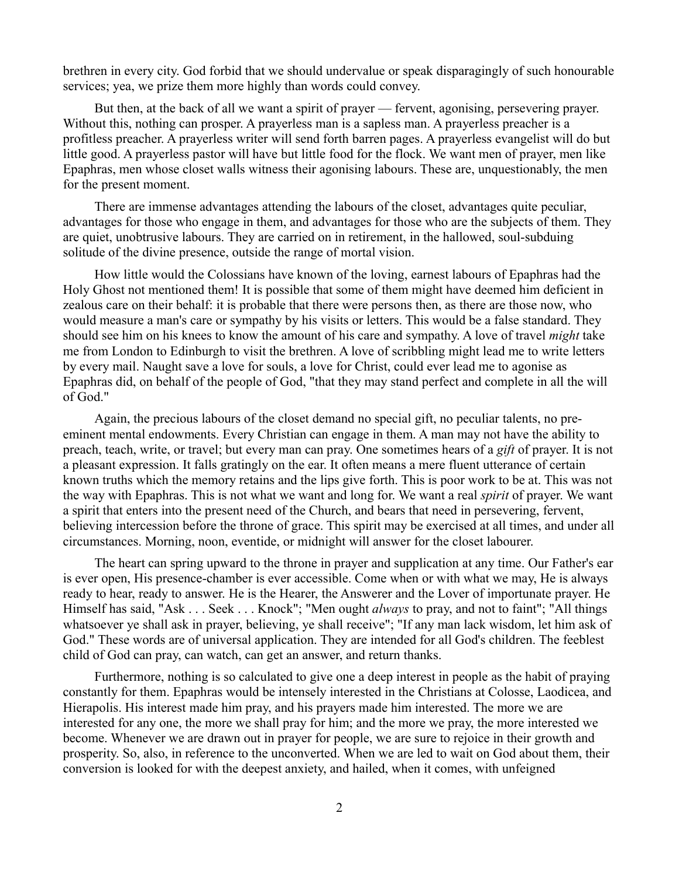brethren in every city. God forbid that we should undervalue or speak disparagingly of such honourable services; yea, we prize them more highly than words could convey.

But then, at the back of all we want a spirit of prayer — fervent, agonising, persevering prayer. Without this, nothing can prosper. A prayerless man is a sapless man. A prayerless preacher is a profitless preacher. A prayerless writer will send forth barren pages. A prayerless evangelist will do but little good. A prayerless pastor will have but little food for the flock. We want men of prayer, men like Epaphras, men whose closet walls witness their agonising labours. These are, unquestionably, the men for the present moment.

There are immense advantages attending the labours of the closet, advantages quite peculiar, advantages for those who engage in them, and advantages for those who are the subjects of them. They are quiet, unobtrusive labours. They are carried on in retirement, in the hallowed, soul-subduing solitude of the divine presence, outside the range of mortal vision.

How little would the Colossians have known of the loving, earnest labours of Epaphras had the Holy Ghost not mentioned them! It is possible that some of them might have deemed him deficient in zealous care on their behalf: it is probable that there were persons then, as there are those now, who would measure a man's care or sympathy by his visits or letters. This would be a false standard. They should see him on his knees to know the amount of his care and sympathy. A love of travel *might* take me from London to Edinburgh to visit the brethren. A love of scribbling might lead me to write letters by every mail. Naught save a love for souls, a love for Christ, could ever lead me to agonise as Epaphras did, on behalf of the people of God, "that they may stand perfect and complete in all the will of God."

Again, the precious labours of the closet demand no special gift, no peculiar talents, no preeminent mental endowments. Every Christian can engage in them. A man may not have the ability to preach, teach, write, or travel; but every man can pray. One sometimes hears of a *gift* of prayer. It is not a pleasant expression. It falls gratingly on the ear. It often means a mere fluent utterance of certain known truths which the memory retains and the lips give forth. This is poor work to be at. This was not the way with Epaphras. This is not what we want and long for. We want a real *spirit* of prayer. We want a spirit that enters into the present need of the Church, and bears that need in persevering, fervent, believing intercession before the throne of grace. This spirit may be exercised at all times, and under all circumstances. Morning, noon, eventide, or midnight will answer for the closet labourer.

The heart can spring upward to the throne in prayer and supplication at any time. Our Father's ear is ever open, His presence-chamber is ever accessible. Come when or with what we may, He is always ready to hear, ready to answer. He is the Hearer, the Answerer and the Lover of importunate prayer. He Himself has said, "Ask . . . Seek . . . Knock"; "Men ought *always* to pray, and not to faint"; "All things whatsoever ye shall ask in prayer, believing, ye shall receive"; "If any man lack wisdom, let him ask of God." These words are of universal application. They are intended for all God's children. The feeblest child of God can pray, can watch, can get an answer, and return thanks.

Furthermore, nothing is so calculated to give one a deep interest in people as the habit of praying constantly for them. Epaphras would be intensely interested in the Christians at Colosse, Laodicea, and Hierapolis. His interest made him pray, and his prayers made him interested. The more we are interested for any one, the more we shall pray for him; and the more we pray, the more interested we become. Whenever we are drawn out in prayer for people, we are sure to rejoice in their growth and prosperity. So, also, in reference to the unconverted. When we are led to wait on God about them, their conversion is looked for with the deepest anxiety, and hailed, when it comes, with unfeigned